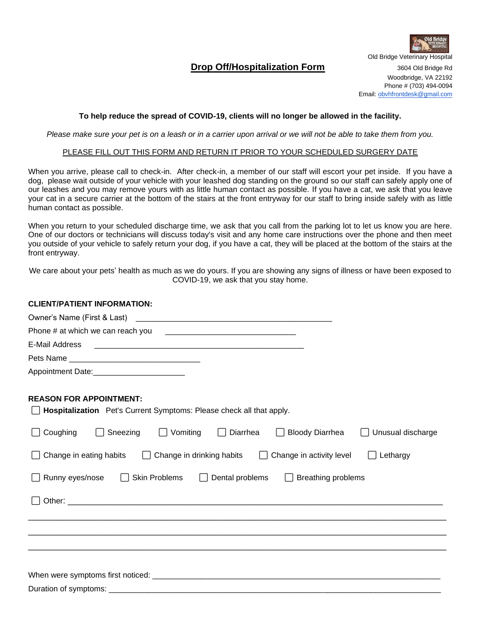

# **Drop Off/Hospitalization Form** 3604 Old Bridge Rd

Woodbridge, VA 22192

Phone # (703) 494-0094 Email[: obvhfrontdesk@gmail.com](mailto:obvhfrontdesk@gmail.com)

#### **To help reduce the spread of COVID-19, clients will no longer be allowed in the facility.**

*Please make sure your pet is on a leash or in a carrier upon arrival or we will not be able to take them from you.*

#### PLEASE FILL OUT THIS FORM AND RETURN IT PRIOR TO YOUR SCHEDULED SURGERY DATE

When you arrive, please call to check-in. After check-in, a member of our staff will escort your pet inside. If you have a dog, please wait outside of your vehicle with your leashed dog standing on the ground so our staff can safely apply one of our leashes and you may remove yours with as little human contact as possible. If you have a cat, we ask that you leave your cat in a secure carrier at the bottom of the stairs at the front entryway for our staff to bring inside safely with as little human contact as possible.

When you return to your scheduled discharge time, we ask that you call from the parking lot to let us know you are here. One of our doctors or technicians will discuss today's visit and any home care instructions over the phone and then meet you outside of your vehicle to safely return your dog, if you have a cat, they will be placed at the bottom of the stairs at the front entryway.

We care about your pets' health as much as we do yours. If you are showing any signs of illness or have been exposed to COVID-19, we ask that you stay home.

## **CLIENT/PATIENT INFORMATION:**

| Owner's Name (First & Last)                                                                                    |
|----------------------------------------------------------------------------------------------------------------|
|                                                                                                                |
| E-Mail Address                                                                                                 |
|                                                                                                                |
|                                                                                                                |
| <b>REASON FOR APPOINTMENT:</b><br>Hospitalization Pet's Current Symptoms: Please check all that apply.         |
| Sneezing<br>$\Box$ Vomiting<br>$\Box$ Diarrhea<br>Coughing<br><b>Bloody Diarrhea</b><br>Unusual discharge      |
| Change in eating habits $\Box$<br>Change in drinking habits<br>Change in activity level<br>Lethargy<br>$\perp$ |
| Runny eyes/nose<br>Skin Problems $\Box$<br>Dental problems<br>$\Box$ Breathing problems                        |
|                                                                                                                |
|                                                                                                                |
|                                                                                                                |
|                                                                                                                |
|                                                                                                                |
|                                                                                                                |
|                                                                                                                |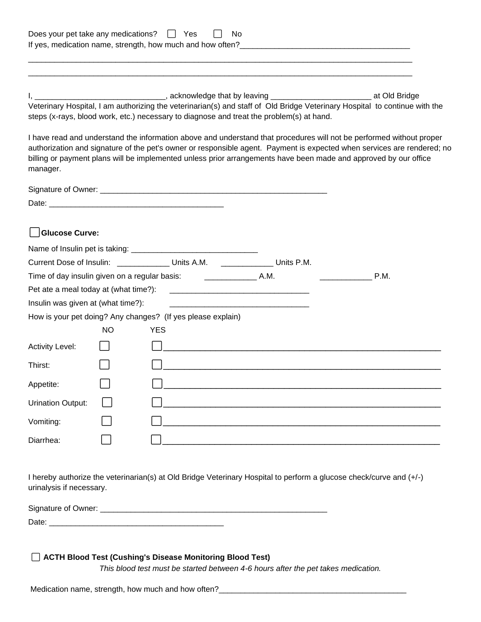| Does your pet take any medications?   |    | II Yes                                                                           | No.                                                                                                                                                                                                                                                                                                                                                                                                                                                                                                                                                                                                                                                                                                            |  |
|---------------------------------------|----|----------------------------------------------------------------------------------|----------------------------------------------------------------------------------------------------------------------------------------------------------------------------------------------------------------------------------------------------------------------------------------------------------------------------------------------------------------------------------------------------------------------------------------------------------------------------------------------------------------------------------------------------------------------------------------------------------------------------------------------------------------------------------------------------------------|--|
| manager.                              |    |                                                                                  | I, __________________________________, acknowledge that by leaving ____________________________ at Old Bridge<br>Veterinary Hospital, I am authorizing the veterinarian(s) and staff of Old Bridge Veterinary Hospital to continue with the<br>steps (x-rays, blood work, etc.) necessary to diagnose and treat the problem(s) at hand.<br>I have read and understand the information above and understand that procedures will not be performed without proper<br>authorization and signature of the pet's owner or responsible agent. Payment is expected when services are rendered; no<br>billing or payment plans will be implemented unless prior arrangements have been made and approved by our office |  |
|                                       |    |                                                                                  |                                                                                                                                                                                                                                                                                                                                                                                                                                                                                                                                                                                                                                                                                                                |  |
|                                       |    |                                                                                  |                                                                                                                                                                                                                                                                                                                                                                                                                                                                                                                                                                                                                                                                                                                |  |
| <b>Glucose Curve:</b>                 |    |                                                                                  |                                                                                                                                                                                                                                                                                                                                                                                                                                                                                                                                                                                                                                                                                                                |  |
|                                       |    | Current Dose of Insulin: ________________ Units A.M. ________________ Units P.M. |                                                                                                                                                                                                                                                                                                                                                                                                                                                                                                                                                                                                                                                                                                                |  |
| P.M.                                  |    |                                                                                  |                                                                                                                                                                                                                                                                                                                                                                                                                                                                                                                                                                                                                                                                                                                |  |
| Pet ate a meal today at (what time?): |    |                                                                                  |                                                                                                                                                                                                                                                                                                                                                                                                                                                                                                                                                                                                                                                                                                                |  |
| Insulin was given at (what time?):    |    |                                                                                  | <u> 1980 - Jan Barnett, mars ann an t-Amhraid ann an t-Amhraid ann an t-Amhraid ann an t-Amhraid ann an t-Amhraid ann an t-Amhraid ann an t-Amhraid ann an t-Amhraid ann an t-Amhraid ann an t-Amhraid ann an t-Amhraid ann an t</u>                                                                                                                                                                                                                                                                                                                                                                                                                                                                           |  |
|                                       |    | How is your pet doing? Any changes? (If yes please explain)                      |                                                                                                                                                                                                                                                                                                                                                                                                                                                                                                                                                                                                                                                                                                                |  |
|                                       | NO | <b>YES</b>                                                                       |                                                                                                                                                                                                                                                                                                                                                                                                                                                                                                                                                                                                                                                                                                                |  |
| <b>Activity Level:</b>                |    |                                                                                  |                                                                                                                                                                                                                                                                                                                                                                                                                                                                                                                                                                                                                                                                                                                |  |
| Thirst:                               |    |                                                                                  |                                                                                                                                                                                                                                                                                                                                                                                                                                                                                                                                                                                                                                                                                                                |  |
| Appetite:                             |    |                                                                                  |                                                                                                                                                                                                                                                                                                                                                                                                                                                                                                                                                                                                                                                                                                                |  |
| <b>Urination Output:</b>              |    |                                                                                  |                                                                                                                                                                                                                                                                                                                                                                                                                                                                                                                                                                                                                                                                                                                |  |
| Vomiting:                             |    |                                                                                  |                                                                                                                                                                                                                                                                                                                                                                                                                                                                                                                                                                                                                                                                                                                |  |
| Diarrhea:                             |    |                                                                                  |                                                                                                                                                                                                                                                                                                                                                                                                                                                                                                                                                                                                                                                                                                                |  |

I hereby authorize the veterinarian(s) at Old Bridge Veterinary Hospital to perform a glucose check/curve and (+/-) urinalysis if necessary.

| Signature of 0<br>Jwner: |  |
|--------------------------|--|
| -                        |  |

# ⬜ **ACTH Blood Test (Cushing's Disease Monitoring Blood Test)**

*This blood test must be started between 4-6 hours after the pet takes medication.*

Medication name, strength, how much and how often?\_\_\_\_\_\_\_\_\_\_\_\_\_\_\_\_\_\_\_\_\_\_\_\_\_\_\_\_\_\_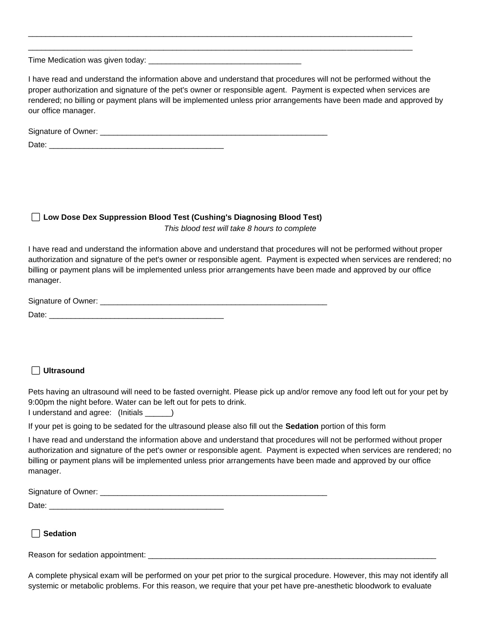Time Medication was given today:

I have read and understand the information above and understand that procedures will not be performed without the proper authorization and signature of the pet's owner or responsible agent. Payment is expected when services are rendered; no billing or payment plans will be implemented unless prior arrangements have been made and approved by our office manager.

\_\_\_\_\_\_\_\_\_\_\_\_\_\_\_\_\_\_\_\_\_\_\_\_\_\_\_\_\_\_\_\_\_\_\_\_\_\_\_\_\_\_\_\_\_\_\_\_\_\_\_\_\_\_\_\_\_\_\_\_\_\_\_\_\_\_\_\_\_\_\_\_\_\_\_\_\_\_\_\_\_\_\_\_\_\_\_\_ \_\_\_\_\_\_\_\_\_\_\_\_\_\_\_\_\_\_\_\_\_\_\_\_\_\_\_\_\_\_\_\_\_\_\_\_\_\_\_\_\_\_\_\_\_\_\_\_\_\_\_\_\_\_\_\_\_\_\_\_\_\_\_\_\_\_\_\_\_\_\_\_\_\_\_\_\_\_\_\_\_\_\_\_\_\_\_\_

| Signature of Owner: |  |
|---------------------|--|
| Ate                 |  |

## ⬜ **Low Dose Dex Suppression Blood Test (Cushing's Diagnosing Blood Test)**

*This blood test will take 8 hours to complete*

I have read and understand the information above and understand that procedures will not be performed without proper authorization and signature of the pet's owner or responsible agent. Payment is expected when services are rendered; no billing or payment plans will be implemented unless prior arrangements have been made and approved by our office manager.

| Signature of Owner: |  |
|---------------------|--|
| Date                |  |

## ⬜ **Ultrasound**

Pets having an ultrasound will need to be fasted overnight. Please pick up and/or remove any food left out for your pet by 9:00pm the night before. Water can be left out for pets to drink.

I understand and agree: (Initials \_\_\_\_\_\_)

If your pet is going to be sedated for the ultrasound please also fill out the **Sedation** portion of this form

I have read and understand the information above and understand that procedures will not be performed without proper authorization and signature of the pet's owner or responsible agent. Payment is expected when services are rendered; no billing or payment plans will be implemented unless prior arrangements have been made and approved by our office manager.

| Signature of Owner: |  |
|---------------------|--|
| Date.               |  |

## ⬜ **Sedation**

Reason for sedation appointment: \_\_\_\_\_\_\_\_\_\_\_\_\_\_\_\_\_\_\_\_\_\_\_\_\_\_\_\_\_\_\_\_\_\_\_\_\_\_\_\_\_\_\_\_\_\_\_\_\_\_\_\_\_\_\_\_\_\_\_\_\_\_\_\_\_\_

A complete physical exam will be performed on your pet prior to the surgical procedure. However, this may not identify all systemic or metabolic problems. For this reason, we require that your pet have pre-anesthetic bloodwork to evaluate